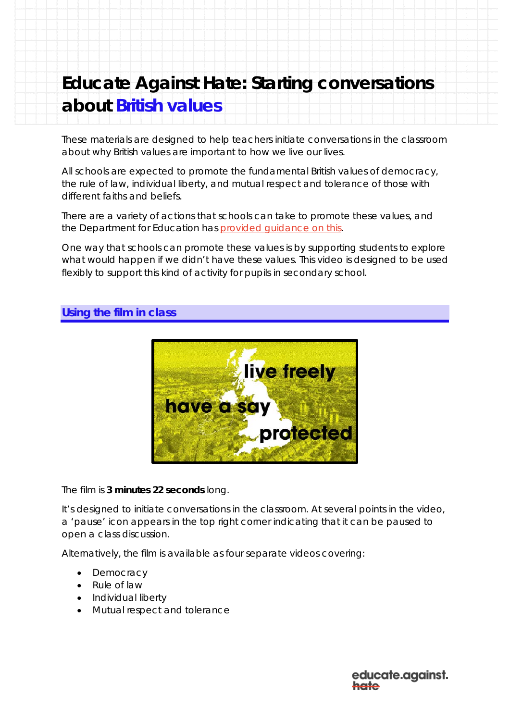# **Educate Against Hate: Starting conversations about British values**

These materials are designed to help teachers initiate conversations in the classroom about why British values are important to how we live our lives.

All schools are expected to promote the fundamental British values of democracy, the rule of law, individual liberty, and mutual respect and tolerance of those with different faiths and beliefs.

There are a variety of actions that schools can take to promote these values, and the Department for Education has provided quidance on this.

One way that schools can promote these values is by supporting students to explore what would happen if we didn't have these values. This video is designed to be used flexibly to support this kind of activity for pupils in secondary school.

## **Using the film in class**



The film is **3 minutes 22 seconds** long.

It's designed to initiate conversations in the classroom. At several points in the video, a 'pause' icon appears in the top right corner indicating that it can be paused to open a class discussion.

Alternatively, the film is available as four separate videos covering:

- Democracy
- Rule of law
- Individual liberty
- Mutual respect and tolerance

educate.against. علومط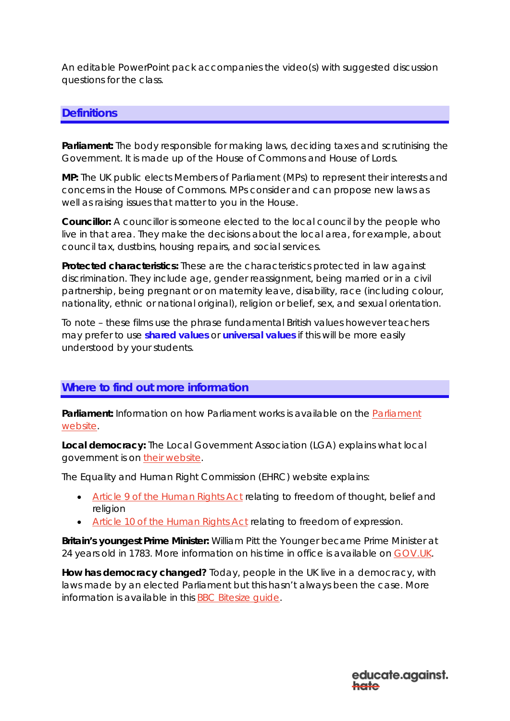An editable PowerPoint pack accompanies the video(s) with suggested discussion questions for the class.

#### **Definitions**

**Parliament:** The body responsible for making laws, deciding taxes and scrutinising the Government. It is made up of the House of Commons and House of Lords.

**MP:** The UK public elects Members of Parliament (MPs) to represent their interests and concerns in the House of Commons. MPs consider and can propose new laws as well as raising issues that matter to you in the House.

**Councillor:** A councillor is someone elected to the local council by the people who live in that area. They make the decisions about the local area, for example, about council tax, dustbins, housing repairs, and social services.

**Protected characteristics:** These are the characteristics protected in law against discrimination. They include age, gender reassignment, being married or in a civil partnership, being pregnant or on maternity leave, disability, race (including colour, nationality, ethnic or national original), religion or belief, sex, and sexual orientation.

To note – these films use the phrase fundamental British values however teachers may prefer to use **shared values** or **universal values** if this will be more easily understood by your students.

#### **Where to find out more information**

**Parliament:** Information on how Parliament works is available on the [Parliament](https://www.parliament.uk/about/)  [website.](https://www.parliament.uk/about/)

**Local democracy:** The Local Government Association (LGA) explains what local government is on [their website.](https://www.local.gov.uk/about/what-local-government)

The Equality and Human Right Commission (EHRC) website explains:

- [Article 9 of the Human Rights Act](https://www.equalityhumanrights.com/en/human-rights-act/article-9-freedom-thought-belief-and-religion) relating to freedom of thought, belief and religion
- [Article 10 of the Human Rights Act](https://www.equalityhumanrights.com/en/y-ddeddf-hawliau-dynol/article-10-freedom-expression) relating to freedom of expression.

**Britain's youngest Prime Minister:** William Pitt the Younger became Prime Minister at 24 years old in 1783. More information on his time in office is available on [GOV.UK.](https://www.gov.uk/government/history/past-prime-ministers/william-pitt)

**How has democracy changed?** Today, people in the UK live in a democracy, with laws made by an elected Parliament but this hasn't always been the case. More information is available in this [BBC Bitesize guide.](https://www.bbc.co.uk/bitesize/guides/zbtg87h/revision/1)